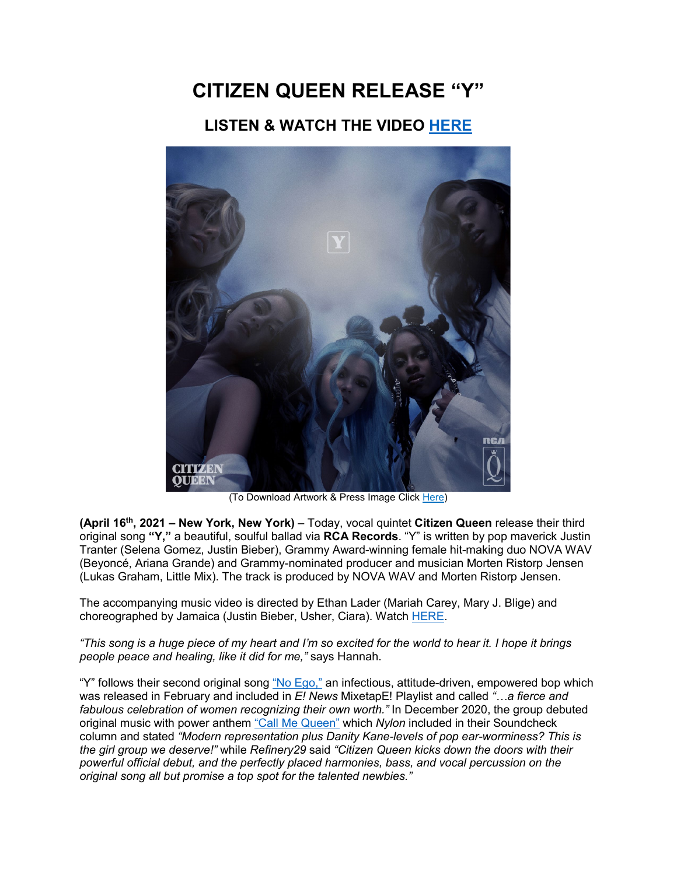## **CITIZEN QUEEN RELEASE "Y"**

## **LISTEN & WATCH THE VIDEO [HERE](https://eur01.safelinks.protection.outlook.com/?url=https%3A%2F%2Fsmarturl.it%2FCQY%2Fyoutube&data=04%7C01%7Ckirsten.mikkelson%40rcarecords.com%7C9256df12fa0744ff17b808d900e92fd6%7Cf0aff3b791a54aaeaf71c63e1dda2049%7C0%7C0%7C637541823818744341%7CUnknown%7CTWFpbGZsb3d8eyJWIjoiMC4wLjAwMDAiLCJQIjoiV2luMzIiLCJBTiI6Ik1haWwiLCJXVCI6Mn0%3D%7C1000&sdata=atP6m6DRHY%2BmXBmM2VsoyYnv%2BmBplofdejQ4BuF3RH8%3D&reserved=0)**



(To Download Artwork & Press Image Click [Here\)](https://eur01.safelinks.protection.outlook.com/?url=https%3A%2F%2Fapp.box.com%2Fs%2Fdxyziz6qfzx8vnyhd1thu0mut6bumsha&data=04%7C01%7Ckirsten.mikkelson%40rcarecords.com%7C9256df12fa0744ff17b808d900e92fd6%7Cf0aff3b791a54aaeaf71c63e1dda2049%7C0%7C0%7C637541823818744341%7CUnknown%7CTWFpbGZsb3d8eyJWIjoiMC4wLjAwMDAiLCJQIjoiV2luMzIiLCJBTiI6Ik1haWwiLCJXVCI6Mn0%3D%7C1000&sdata=oXeXYpK3H%2FJEomOOWRasAipIdArHUud49aKDw2GzbkQ%3D&reserved=0)

**(April 16th, 2021 – New York, New York)** – Today, vocal quintet **Citizen Queen** release their third original song **"Y,"** a beautiful, soulful ballad via **RCA Records**. "Y" is written by pop maverick Justin Tranter (Selena Gomez, Justin Bieber), Grammy Award-winning female hit-making duo NOVA WAV (Beyoncé, Ariana Grande) and Grammy-nominated producer and musician Morten Ristorp Jensen (Lukas Graham, Little Mix). The track is produced by NOVA WAV and Morten Ristorp Jensen.

The accompanying music video is directed by Ethan Lader (Mariah Carey, Mary J. Blige) and choreographed by Jamaica (Justin Bieber, Usher, Ciara). Watch [HERE.](https://eur01.safelinks.protection.outlook.com/?url=https%3A%2F%2Fsmarturl.it%2FCQY%2Fyoutube&data=04%7C01%7Ckirsten.mikkelson%40rcarecords.com%7C9256df12fa0744ff17b808d900e92fd6%7Cf0aff3b791a54aaeaf71c63e1dda2049%7C0%7C0%7C637541823818754336%7CUnknown%7CTWFpbGZsb3d8eyJWIjoiMC4wLjAwMDAiLCJQIjoiV2luMzIiLCJBTiI6Ik1haWwiLCJXVCI6Mn0%3D%7C1000&sdata=PhQsjFlf04pFLGcptuJ1K6SqyJ28eD1Lsq%2FVTmCM0p4%3D&reserved=0)

*"This song is a huge piece of my heart and I'm so excited for the world to hear it. I hope it brings people peace and healing, like it did for me,"* says Hannah.

"Y" follows their second original song ["No Ego,"](https://eur01.safelinks.protection.outlook.com/?url=https%3A%2F%2Fwww.youtube.com%2Fwatch%3Fv%3DWJFKIPGab0w&data=04%7C01%7Ckirsten.mikkelson%40rcarecords.com%7C9256df12fa0744ff17b808d900e92fd6%7Cf0aff3b791a54aaeaf71c63e1dda2049%7C0%7C0%7C637541823818754336%7CUnknown%7CTWFpbGZsb3d8eyJWIjoiMC4wLjAwMDAiLCJQIjoiV2luMzIiLCJBTiI6Ik1haWwiLCJXVCI6Mn0%3D%7C1000&sdata=b%2BSRBpDV0ExTTIeS58ER3uQnhalnZlV62kw%2BE66lgSI%3D&reserved=0) an infectious, attitude-driven, empowered bop which was released in February and included in *E! News* MixetapE! Playlist and called *"…a fierce and fabulous celebration of women recognizing their own worth."* In December 2020, the group debuted original music with power anthem ["Call Me Queen"](https://eur01.safelinks.protection.outlook.com/?url=https%3A%2F%2Fsmarturl.it%2FCallMeQueen&data=04%7C01%7Ckirsten.mikkelson%40rcarecords.com%7C9256df12fa0744ff17b808d900e92fd6%7Cf0aff3b791a54aaeaf71c63e1dda2049%7C0%7C0%7C637541823818764329%7CUnknown%7CTWFpbGZsb3d8eyJWIjoiMC4wLjAwMDAiLCJQIjoiV2luMzIiLCJBTiI6Ik1haWwiLCJXVCI6Mn0%3D%7C1000&sdata=%2FgdGR3WnmUUGXJwGtRd%2FFAyezjvoMUnJIEAB9iJ12gg%3D&reserved=0) which *Nylon* included in their Soundcheck column and stated *"Modern representation plus Danity Kane-levels of pop ear-worminess? This is the girl group we deserve!"* while *Refinery29* said *"Citizen Queen kicks down the doors with their powerful official debut, and the perfectly placed harmonies, bass, and vocal percussion on the original song all but promise a top spot for the talented newbies."*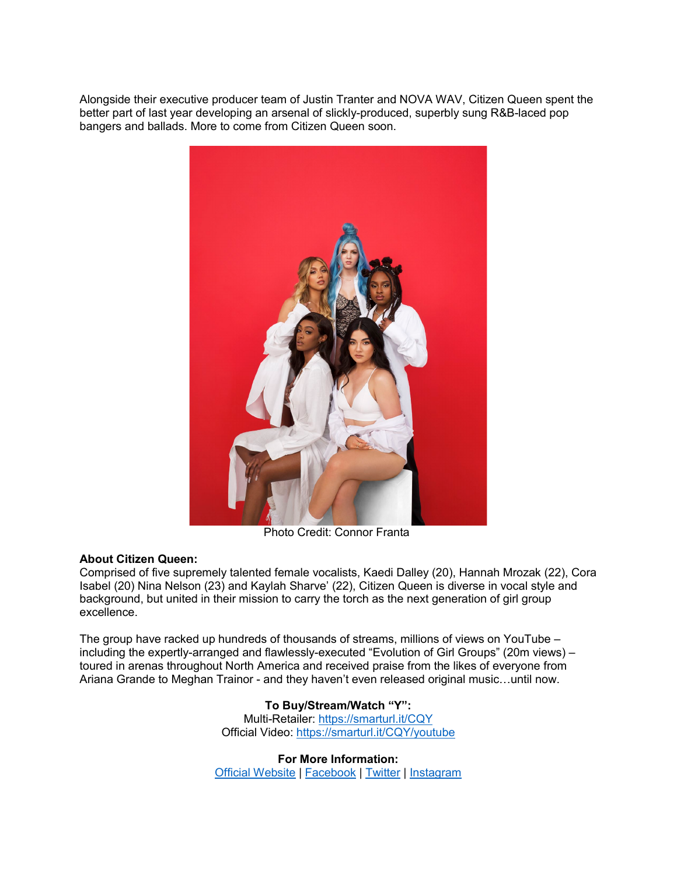Alongside their executive producer team of Justin Tranter and NOVA WAV, Citizen Queen spent the better part of last year developing an arsenal of slickly-produced, superbly sung R&B-laced pop bangers and ballads. More to come from Citizen Queen soon.



Photo Credit: Connor Franta

## **About Citizen Queen:**

Comprised of five supremely talented female vocalists, Kaedi Dalley (20), Hannah Mrozak (22), Cora Isabel (20) Nina Nelson (23) and Kaylah Sharve' (22), Citizen Queen is diverse in vocal style and background, but united in their mission to carry the torch as the next generation of girl group excellence.

The group have racked up hundreds of thousands of streams, millions of views on YouTube – including the expertly-arranged and flawlessly-executed "Evolution of Girl Groups" (20m views) – toured in arenas throughout North America and received praise from the likes of everyone from Ariana Grande to Meghan Trainor - and they haven't even released original music…until now.

> **To Buy/Stream/Watch "Y":** Multi-Retailer: [https://smarturl.it/CQY](https://eur01.safelinks.protection.outlook.com/?url=https%3A%2F%2Fsmarturl.it%2FCQY&data=04%7C01%7Ckirsten.mikkelson%40rcarecords.com%7C9256df12fa0744ff17b808d900e92fd6%7Cf0aff3b791a54aaeaf71c63e1dda2049%7C0%7C0%7C637541823818764329%7CUnknown%7CTWFpbGZsb3d8eyJWIjoiMC4wLjAwMDAiLCJQIjoiV2luMzIiLCJBTiI6Ik1haWwiLCJXVCI6Mn0%3D%7C1000&sdata=0kEsaBB1Q%2Fik7zbpSNDOCkU%2Fo4S9lHykF6CuSd3ZcCw%3D&reserved=0) Official Video: [https://smarturl.it/CQY/youtube](https://eur01.safelinks.protection.outlook.com/?url=https%3A%2F%2Fsmarturl.it%2FCQY%2Fyoutube&data=04%7C01%7Ckirsten.mikkelson%40rcarecords.com%7C9256df12fa0744ff17b808d900e92fd6%7Cf0aff3b791a54aaeaf71c63e1dda2049%7C0%7C0%7C637541823818774316%7CUnknown%7CTWFpbGZsb3d8eyJWIjoiMC4wLjAwMDAiLCJQIjoiV2luMzIiLCJBTiI6Ik1haWwiLCJXVCI6Mn0%3D%7C1000&sdata=7DlDu54jb0zkUmBr5oT3FsNczQcxHHbAQ0EreJtVkyI%3D&reserved=0)

**For More Information:** [Official Website](https://eur01.safelinks.protection.outlook.com/?url=https%3A%2F%2Fwww.citizenqueen.com%2F&data=04%7C01%7Ckirsten.mikkelson%40rcarecords.com%7C9256df12fa0744ff17b808d900e92fd6%7Cf0aff3b791a54aaeaf71c63e1dda2049%7C0%7C0%7C637541823818774316%7CUnknown%7CTWFpbGZsb3d8eyJWIjoiMC4wLjAwMDAiLCJQIjoiV2luMzIiLCJBTiI6Ik1haWwiLCJXVCI6Mn0%3D%7C1000&sdata=2PmiV7CeTVUT2g9TmxfTJ%2FUWBtWn5zVO27uA8JDeqUU%3D&reserved=0) | [Facebook](https://eur01.safelinks.protection.outlook.com/?url=https%3A%2F%2Fwww.facebook.com%2FCitizenQueenMusic%2F&data=04%7C01%7Ckirsten.mikkelson%40rcarecords.com%7C9256df12fa0744ff17b808d900e92fd6%7Cf0aff3b791a54aaeaf71c63e1dda2049%7C0%7C0%7C637541823818784313%7CUnknown%7CTWFpbGZsb3d8eyJWIjoiMC4wLjAwMDAiLCJQIjoiV2luMzIiLCJBTiI6Ik1haWwiLCJXVCI6Mn0%3D%7C1000&sdata=%2BL2%2By4DeeSlTq4USEVIsJYSe5oAPVCBMJojB%2FtPgrDg%3D&reserved=0) | [Twitter](https://eur01.safelinks.protection.outlook.com/?url=https%3A%2F%2Ftwitter.com%2FCQOfficial&data=04%7C01%7Ckirsten.mikkelson%40rcarecords.com%7C9256df12fa0744ff17b808d900e92fd6%7Cf0aff3b791a54aaeaf71c63e1dda2049%7C0%7C0%7C637541823818784313%7CUnknown%7CTWFpbGZsb3d8eyJWIjoiMC4wLjAwMDAiLCJQIjoiV2luMzIiLCJBTiI6Ik1haWwiLCJXVCI6Mn0%3D%7C1000&sdata=M6hWAEynoxWlCXm9M05ucNjtl%2Fi24q9t%2BvHgF14yLHY%3D&reserved=0) | [Instagram](https://eur01.safelinks.protection.outlook.com/?url=https%3A%2F%2Fwww.instagram.com%2Fcitizenqueen%2F&data=04%7C01%7Ckirsten.mikkelson%40rcarecords.com%7C9256df12fa0744ff17b808d900e92fd6%7Cf0aff3b791a54aaeaf71c63e1dda2049%7C0%7C0%7C637541823818794304%7CUnknown%7CTWFpbGZsb3d8eyJWIjoiMC4wLjAwMDAiLCJQIjoiV2luMzIiLCJBTiI6Ik1haWwiLCJXVCI6Mn0%3D%7C1000&sdata=bGcfCGliUOo%2FtJKuKT%2FpGcEqYzOQh5LGgefs%2FEgnEWU%3D&reserved=0)